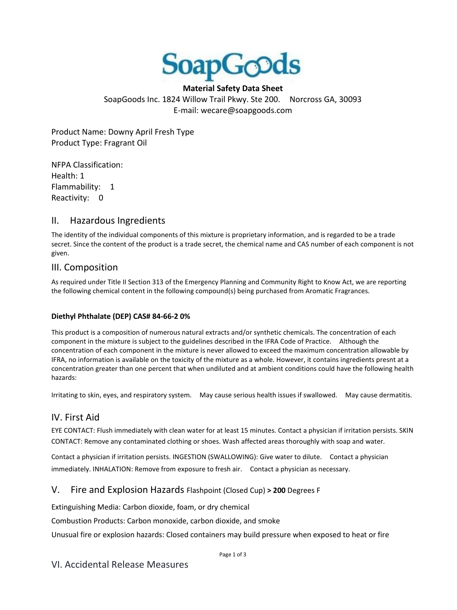

**Material Safety Data Sheet**  SoapGoods Inc. 1824 Willow Trail Pkwy. Ste 200. Norcross GA, 30093 E-mail: wecare@soapgoods.com

Product Name: Downy April Fresh Type Product Type: Fragrant Oil

NFPA Classification: Health: 1 Flammability: 1 Reactivity: 0

# II. Hazardous Ingredients

The identity of the individual components of this mixture is proprietary information, and is regarded to be a trade secret. Since the content of the product is a trade secret, the chemical name and CAS number of each component is not given.

### III. Composition

As required under Title II Section 313 of the Emergency Planning and Community Right to Know Act, we are reporting the following chemical content in the following compound(s) being purchased from Aromatic Fragrances.

#### **Diethyl Phthalate (DEP) CAS# 84-66-2 0%**

This product is a composition of numerous natural extracts and/or synthetic chemicals. The concentration of each component in the mixture is subject to the guidelines described in the IFRA Code of Practice. Although the concentration of each component in the mixture is never allowed to exceed the maximum concentration allowable by IFRA, no information is available on the toxicity of the mixture as a whole. However, it contains ingredients presnt at a concentration greater than one percent that when undiluted and at ambient conditions could have the following health hazards:

Irritating to skin, eyes, and respiratory system. May cause serious health issues if swallowed. May cause dermatitis.

# IV. First Aid

EYE CONTACT: Flush immediately with clean water for at least 15 minutes. Contact a physician if irritation persists. SKIN CONTACT: Remove any contaminated clothing or shoes. Wash affected areas thoroughly with soap and water.

Contact a physician if irritation persists. INGESTION (SWALLOWING): Give water to dilute. Contact a physician immediately. INHALATION: Remove from exposure to fresh air. Contact a physician as necessary.

# V. Fire and Explosion Hazards Flashpoint (Closed Cup) **> 200** Degrees F

Extinguishing Media: Carbon dioxide, foam, or dry chemical

Combustion Products: Carbon monoxide, carbon dioxide, and smoke

Unusual fire or explosion hazards: Closed containers may build pressure when exposed to heat or fire

Page 1 of 3

# VI. Accidental Release Measures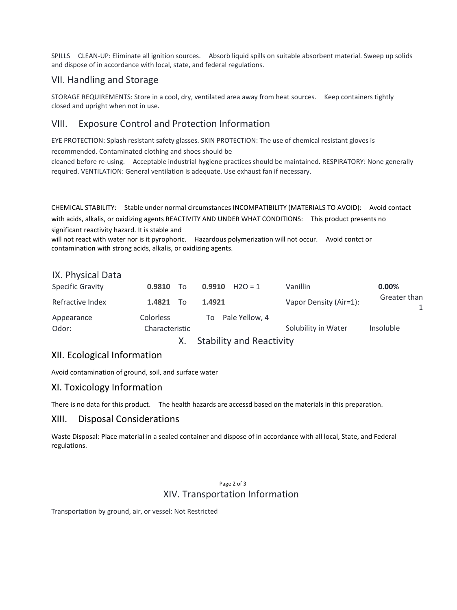SPILLS CLEAN-UP: Eliminate all ignition sources. Absorb liquid spills on suitable absorbent material. Sweep up solids and dispose of in accordance with local, state, and federal regulations.

# VII. Handling and Storage

STORAGE REQUIREMENTS: Store in a cool, dry, ventilated area away from heat sources. Keep containers tightly closed and upright when not in use.

# VIII. Exposure Control and Protection Information

EYE PROTECTION: Splash resistant safety glasses. SKIN PROTECTION: The use of chemical resistant gloves is

recommended. Contaminated clothing and shoes should be

cleaned before re-using. Acceptable industrial hygiene practices should be maintained. RESPIRATORY: None generally required. VENTILATION: General ventilation is adequate. Use exhaust fan if necessary.

CHEMICAL STABILITY: Stable under normal circumstances INCOMPATIBILITY (MATERIALS TO AVOID): Avoid contact with acids, alkalis, or oxidizing agents REACTIVITY AND UNDER WHAT CONDITIONS: This product presents no significant reactivity hazard. It is stable and

will not react with water nor is it pyrophoric. Hazardous polymerization will not occur. Avoid contct or contamination with strong acids, alkalis, or oxidizing agents.

### IX. Physical Data

|                         |                  | $C + \lambda$         |                        |              |
|-------------------------|------------------|-----------------------|------------------------|--------------|
| Odor:                   | Characteristic   |                       | Solubility in Water    | Insoluble    |
| Appearance              | <b>Colorless</b> | Pale Yellow, 4<br>To: |                        |              |
| Refractive Index        | 1.4821 To        | 1.4921                | Vapor Density (Air=1): | Greater than |
| <b>Specific Gravity</b> | $0.9810$ To      | 0.9910<br>$H2O = 1$   | Vanillin               | $0.00\%$     |

X. Stability and Reactivity

# XII. Ecological Information

Avoid contamination of ground, soil, and surface water

# XI. Toxicology Information

There is no data for this product. The health hazards are accessd based on the materials in this preparation.

# XIII. Disposal Considerations

Waste Disposal: Place material in a sealed container and dispose of in accordance with all local, State, and Federal regulations.

#### Page 2 of 3 XIV. Transportation Information

Transportation by ground, air, or vessel: Not Restricted